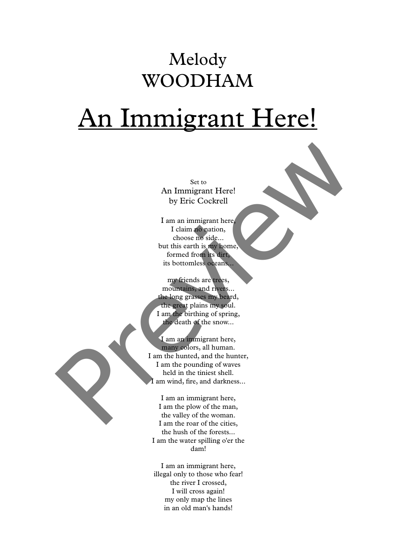## Melody WOODHAM

## An Immigrant Here!

Set to An Immigrant Here! by Eric Cockrell

I am an immigrant here, I claim no nation, choose no side... but this earth is my home, formed from its dirt, its bottomless oceans...

my friends are trees, mountains, and rivers... the long grasses my beard, the great plains my soul. I am the birthing of spring, the death of the snow...

I am an immigrant here, many colors, all human. I am the hunted, and the hunter, I am the pounding of waves held in the tiniest shell. I am wind, fire, and darkness... Section<br>
An Immigrant Here!<br>
by Eric Cookrell<br>
I'am an immigrant here.<br>
I'alsim no nation,<br>
choose a bidde.<br>
but this earth is at home<br>
formed from its but the second<br>
form is the bond of the second<br>
my friends are recessi

I am an immigrant here, I am the plow of the man, the valley of the woman. I am the roar of the cities, the hush of the forests... I am the water spilling o'er the dam!

I am an immigrant here, illegal only to those who fear! the river I crossed, I will cross again! my only map the lines in an old man's hands!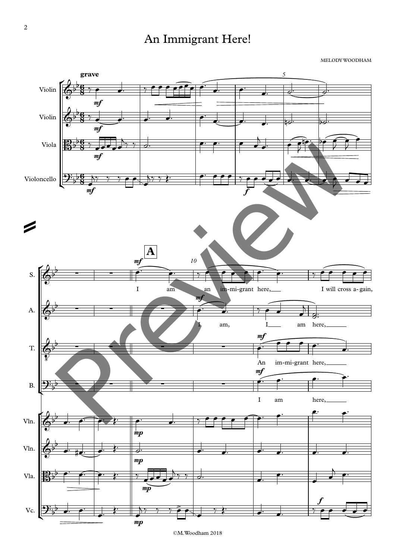## An Immigrant Here!

MELODY WOODHAM



<sup>©</sup>M.Woodham 2018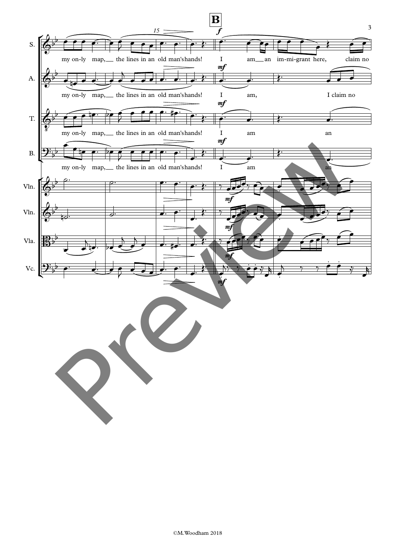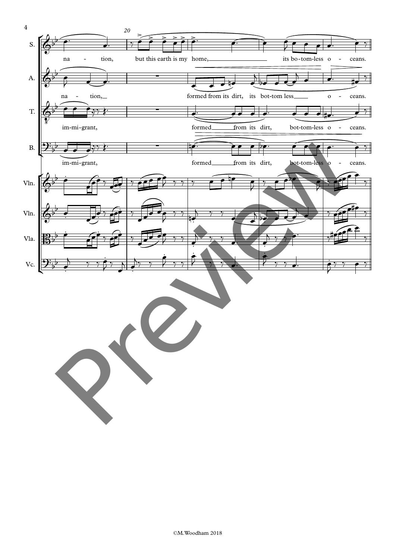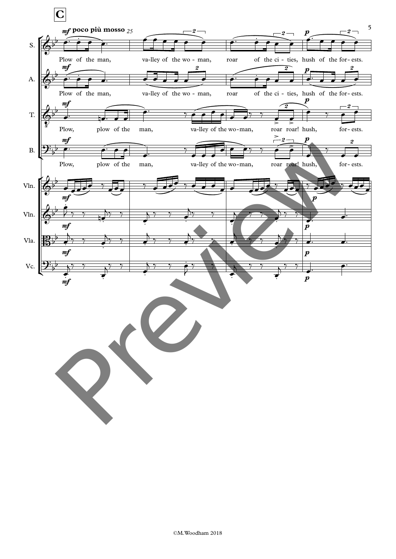